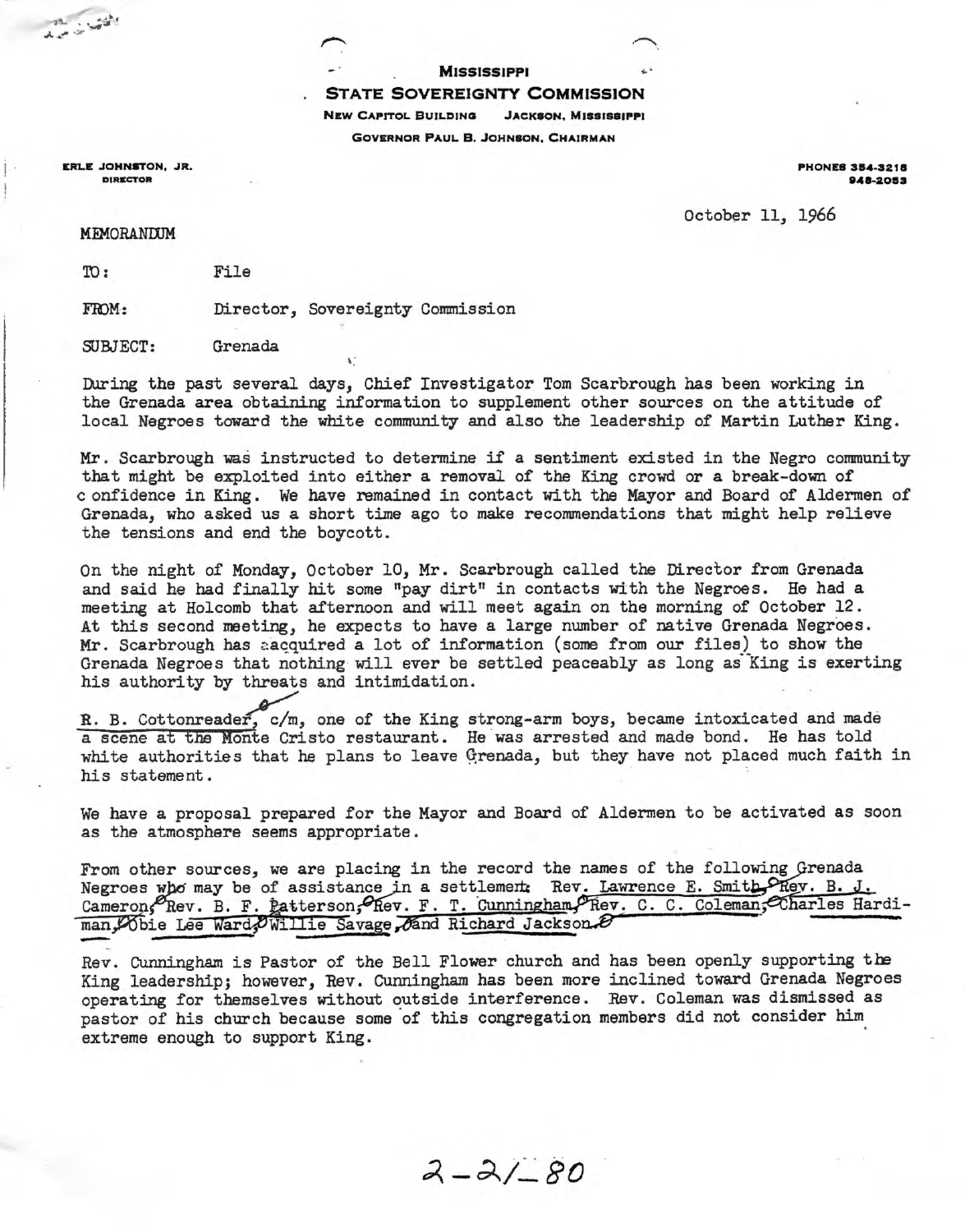**MISSISSIPPI** 

## STATE SOVEREIGNTY COMMISSION

NEW CAPITOL BUILDING JACKSON. MISSISSIPPI

GOVERNOR PAUL B. JOHN80N, CHAIRMAN

ERLE JOHNSTON, JR. DIRECTOR

PHONES 354-3218 8A8·2083

October 11, 1966

**MEMORANDUM** 

ID: File

FroM: Director, Sovereignty Commission

SUBJECT: Grenada

During the past several days, Chief Investigator Tom Scarbrough has been working in the Grenada area obtaining information to supplement other sources on the attitude of local Negroes toward the white community and also the leadership of Martin Luther King.

Mr. Scarbrough was instructed to determine if a sentiment existed in the Negro community that might be exploited into either a removal of the King crowd or a break-down of c onfidence in King. We have remained in contact with the Mayor and Board of Aldermen of Grenada, who asked us a short time ago to make recommendations that might help relieve the tensions and end the boycott.

On the night of Monday, October 10, Mr. Scarbrough called the Director from Grenada and said he had finally hit some "pay dirt" in contacts with the Negroes. He had a meeting at Holcomb that afternoon and will meet again on the morning of October 12. At this second meeting, he expects to have a large number of native Grenada Negroes. Mr. Scarbrough has a acquired a lot of information (some from our files) to show the Grenada Negroes that nothing will ever be settled peaceably as long as King is exerting his authority by threats and intimidation.

R. B. Cottonreader, c/m, one of the King strong-arm boys, became intoxicated and made a scene at the Monte Cristo restaurant. He was arrested and made bond. He has told white authorities that he plans to leave Grenada, but they have not placed much faith in his statement.

We have a proposal prepared for the Mayor and Board of Aldermen to be activated as soon as the atmosphere seems appropriate.

From other sources, we are placing in the record the names of the following Grenada Negroes who may be of assistance in a settlement Rev. Lawrence E. Smith PRev. B. J. Cameron, Rev. B. F. gatterson, Rev. F. T. Cunningham, Rev. C. C. Coleman, Charles Hardiman, Obie Lee Ward; Owillie Savage, And Richard Jackson.

Rev. Cunningham is Pastor of the Bell Flower church and has been openly supporting the King leadership; however, Rev. Cunningham has been more inclined toward Grenada Negroes operating for themselves without outside interference. Rev. Coleman was dismissed as pastor of his church because some of this congregation members did not consider him extreme enough to support King.

 $2 - 21 - 80$